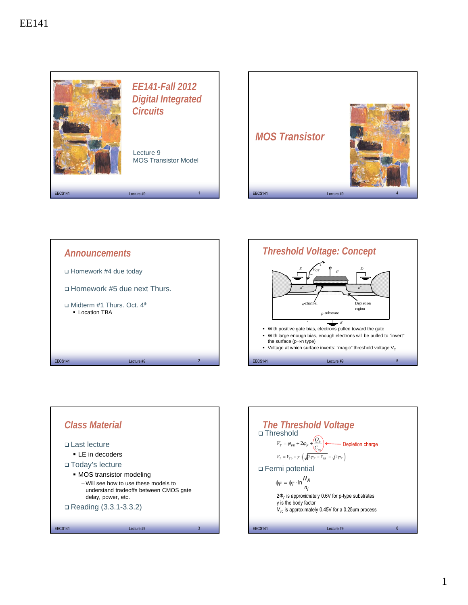







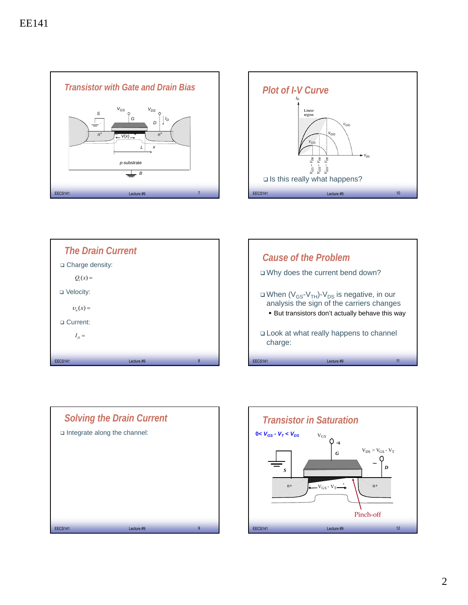









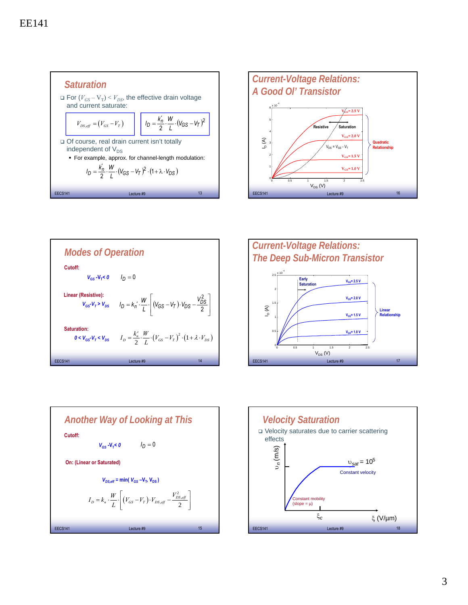









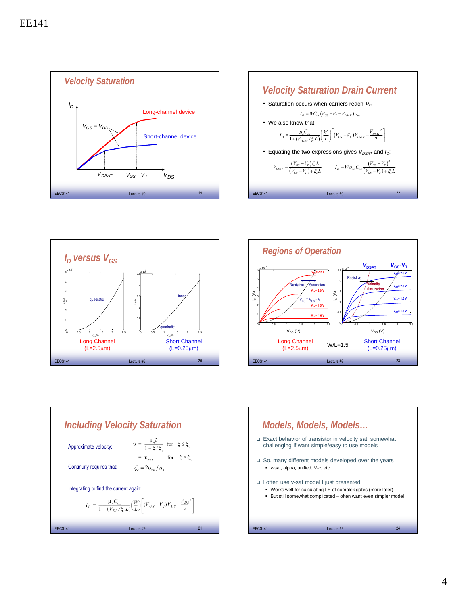